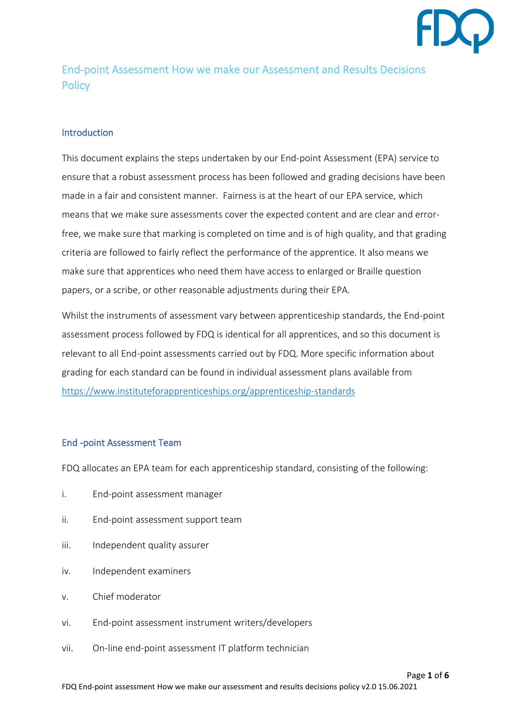

# End-point Assessment How we make our Assessment and Results Decisions **Policy**

# **Introduction**

This document explains the steps undertaken by our End-point Assessment (EPA) service to ensure that a robust assessment process has been followed and grading decisions have been made in a fair and consistent manner. Fairness is at the heart of our EPA service, which means that we make sure assessments cover the expected content and are clear and errorfree, we make sure that marking is completed on time and is of high quality, and that grading criteria are followed to fairly reflect the performance of the apprentice. It also means we make sure that apprentices who need them have access to enlarged or Braille question papers, or a scribe, or other reasonable adjustments during their EPA.

Whilst the instruments of assessment vary between apprenticeship standards, the End-point assessment process followed by FDQ is identical for all apprentices, and so this document is relevant to all End-point assessments carried out by FDQ. More specific information about grading for each standard can be found in individual assessment plans available from <https://www.instituteforapprenticeships.org/apprenticeship-standards>

### End -point Assessment Team

FDQ allocates an EPA team for each apprenticeship standard, consisting of the following:

- i. End-point assessment manager
- ii. End-point assessment support team
- iii. Independent quality assurer
- iv. Independent examiners
- v. Chief moderator
- vi. End-point assessment instrument writers/developers
- vii. On-line end-point assessment IT platform technician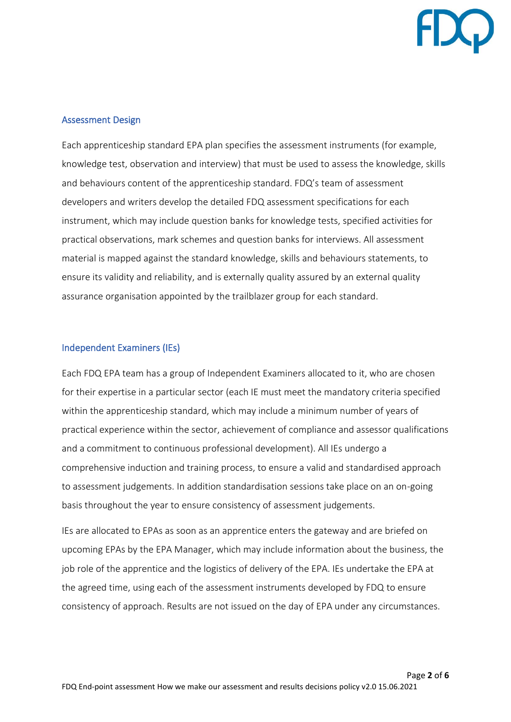

## Assessment Design

Each apprenticeship standard EPA plan specifies the assessment instruments (for example, knowledge test, observation and interview) that must be used to assess the knowledge, skills and behaviours content of the apprenticeship standard. FDQ's team of assessment developers and writers develop the detailed FDQ assessment specifications for each instrument, which may include question banks for knowledge tests, specified activities for practical observations, mark schemes and question banks for interviews. All assessment material is mapped against the standard knowledge, skills and behaviours statements, to ensure its validity and reliability, and is externally quality assured by an external quality assurance organisation appointed by the trailblazer group for each standard.

### Independent Examiners (IEs)

Each FDQ EPA team has a group of Independent Examiners allocated to it, who are chosen for their expertise in a particular sector (each IE must meet the mandatory criteria specified within the apprenticeship standard, which may include a minimum number of years of practical experience within the sector, achievement of compliance and assessor qualifications and a commitment to continuous professional development). All IEs undergo a comprehensive induction and training process, to ensure a valid and standardised approach to assessment judgements. In addition standardisation sessions take place on an on-going basis throughout the year to ensure consistency of assessment judgements.

IEs are allocated to EPAs as soon as an apprentice enters the gateway and are briefed on upcoming EPAs by the EPA Manager, which may include information about the business, the job role of the apprentice and the logistics of delivery of the EPA. IEs undertake the EPA at the agreed time, using each of the assessment instruments developed by FDQ to ensure consistency of approach. Results are not issued on the day of EPA under any circumstances.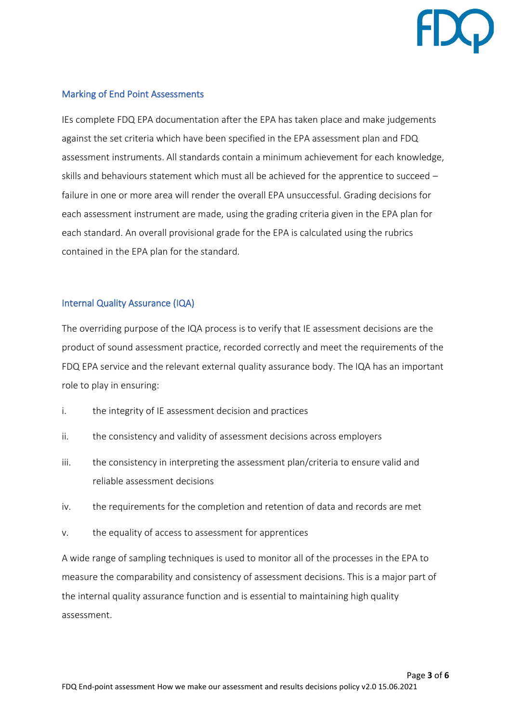

## Marking of End Point Assessments

IEs complete FDQ EPA documentation after the EPA has taken place and make judgements against the set criteria which have been specified in the EPA assessment plan and FDQ assessment instruments. All standards contain a minimum achievement for each knowledge, skills and behaviours statement which must all be achieved for the apprentice to succeed – failure in one or more area will render the overall EPA unsuccessful. Grading decisions for each assessment instrument are made, using the grading criteria given in the EPA plan for each standard. An overall provisional grade for the EPA is calculated using the rubrics contained in the EPA plan for the standard.

### Internal Quality Assurance (IQA)

The overriding purpose of the IQA process is to verify that IE assessment decisions are the product of sound assessment practice, recorded correctly and meet the requirements of the FDQ EPA service and the relevant external quality assurance body. The IQA has an important role to play in ensuring:

- i. the integrity of IE assessment decision and practices
- ii. the consistency and validity of assessment decisions across employers
- iii. the consistency in interpreting the assessment plan/criteria to ensure valid and reliable assessment decisions
- iv. the requirements for the completion and retention of data and records are met
- v. the equality of access to assessment for apprentices

A wide range of sampling techniques is used to monitor all of the processes in the EPA to measure the comparability and consistency of assessment decisions. This is a major part of the internal quality assurance function and is essential to maintaining high quality assessment.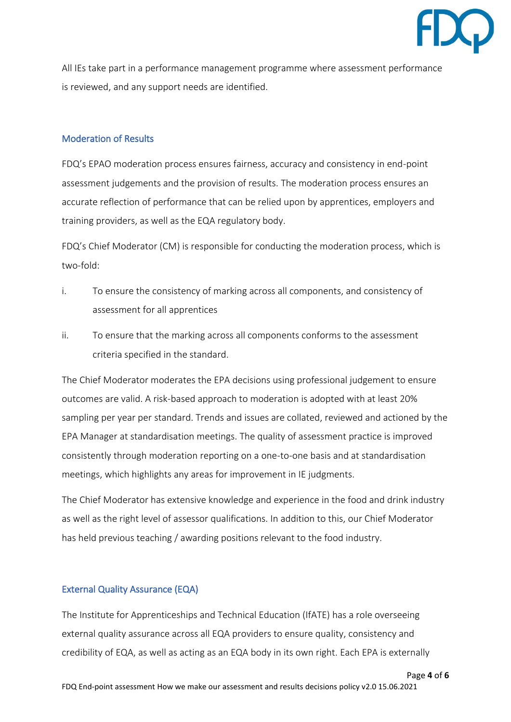

All IEs take part in a performance management programme where assessment performance is reviewed, and any support needs are identified.

# Moderation of Results

FDQ's EPAO moderation process ensures fairness, accuracy and consistency in end-point assessment judgements and the provision of results. The moderation process ensures an accurate reflection of performance that can be relied upon by apprentices, employers and training providers, as well as the EQA regulatory body.

FDQ's Chief Moderator (CM) is responsible for conducting the moderation process, which is two-fold:

- i. To ensure the consistency of marking across all components, and consistency of assessment for all apprentices
- ii. To ensure that the marking across all components conforms to the assessment criteria specified in the standard.

The Chief Moderator moderates the EPA decisions using professional judgement to ensure outcomes are valid. A risk-based approach to moderation is adopted with at least 20% sampling per year per standard. Trends and issues are collated, reviewed and actioned by the EPA Manager at standardisation meetings. The quality of assessment practice is improved consistently through moderation reporting on a one-to-one basis and at standardisation meetings, which highlights any areas for improvement in IE judgments.

The Chief Moderator has extensive knowledge and experience in the food and drink industry as well as the right level of assessor qualifications. In addition to this, our Chief Moderator has held previous teaching / awarding positions relevant to the food industry.

# External Quality Assurance (EQA)

The Institute for Apprenticeships and Technical Education (IfATE) has a role overseeing external quality assurance across all EQA providers to ensure quality, consistency and credibility of EQA, as well as acting as an EQA body in its own right. Each EPA is externally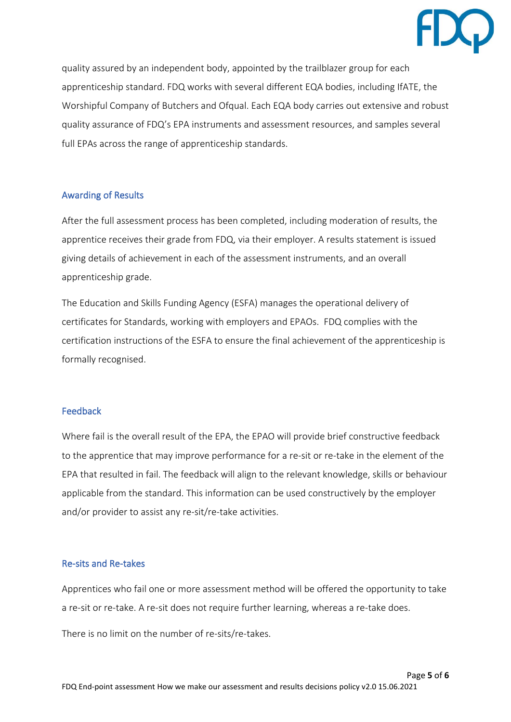

quality assured by an independent body, appointed by the trailblazer group for each apprenticeship standard. FDQ works with several different EQA bodies, including IfATE, the Worshipful Company of Butchers and Ofqual. Each EQA body carries out extensive and robust quality assurance of FDQ's EPA instruments and assessment resources, and samples several full EPAs across the range of apprenticeship standards.

## Awarding of Results

After the full assessment process has been completed, including moderation of results, the apprentice receives their grade from FDQ, via their employer. A results statement is issued giving details of achievement in each of the assessment instruments, and an overall apprenticeship grade.

The Education and Skills Funding Agency (ESFA) manages the operational delivery of certificates for Standards, working with employers and EPAOs. FDQ complies with the certification instructions of the ESFA to ensure the final achievement of the apprenticeship is formally recognised.

### Feedback

Where fail is the overall result of the EPA, the EPAO will provide brief constructive feedback to the apprentice that may improve performance for a re-sit or re-take in the element of the EPA that resulted in fail. The feedback will align to the relevant knowledge, skills or behaviour applicable from the standard. This information can be used constructively by the employer and/or provider to assist any re-sit/re-take activities.

# Re-sits and Re-takes

Apprentices who fail one or more assessment method will be offered the opportunity to take a re-sit or re-take. A re-sit does not require further learning, whereas a re-take does.

There is no limit on the number of re-sits/re-takes.